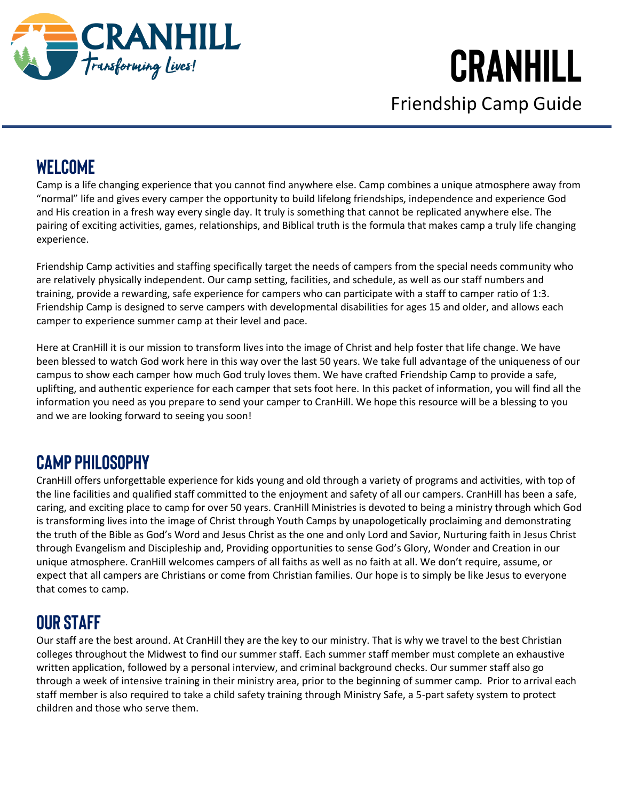

Friendship Camp Guide

### **WELCOME**

Camp is a life changing experience that you cannot find anywhere else. Camp combines a unique atmosphere away from "normal" life and gives every camper the opportunity to build lifelong friendships, independence and experience God and His creation in a fresh way every single day. It truly is something that cannot be replicated anywhere else. The pairing of exciting activities, games, relationships, and Biblical truth is the formula that makes camp a truly life changing experience.

Friendship Camp activities and staffing specifically target the needs of campers from the special needs community who are relatively physically independent. Our camp setting, facilities, and schedule, as well as our staff numbers and training, provide a rewarding, safe experience for campers who can participate with a staff to camper ratio of 1:3. Friendship Camp is designed to serve campers with developmental disabilities for ages 15 and older, and allows each camper to experience summer camp at their level and pace.

Here at CranHill it is our mission to transform lives into the image of Christ and help foster that life change. We have been blessed to watch God work here in this way over the last 50 years. We take full advantage of the uniqueness of our campus to show each camper how much God truly loves them. We have crafted Friendship Camp to provide a safe, uplifting, and authentic experience for each camper that sets foot here. In this packet of information, you will find all the information you need as you prepare to send your camper to CranHill. We hope this resource will be a blessing to you and we are looking forward to seeing you soon!

### **CAMP PHILOSOPHY**

CranHill offers unforgettable experience for kids young and old through a variety of programs and activities, with top of the line facilities and qualified staff committed to the enjoyment and safety of all our campers. CranHill has been a safe, caring, and exciting place to camp for over 50 years. CranHill Ministries is devoted to being a ministry through which God is transforming lives into the image of Christ through Youth Camps by unapologetically proclaiming and demonstrating the truth of the Bible as God's Word and Jesus Christ as the one and only Lord and Savior, Nurturing faith in Jesus Christ through Evangelism and Discipleship and, Providing opportunities to sense God's Glory, Wonder and Creation in our unique atmosphere. CranHill welcomes campers of all faiths as well as no faith at all. We don't require, assume, or expect that all campers are Christians or come from Christian families. Our hope is to simply be like Jesus to everyone that comes to camp.

## **OUR STAFF**

Our staff are the best around. At CranHill they are the key to our ministry. That is why we travel to the best Christian colleges throughout the Midwest to find our summer staff. Each summer staff member must complete an exhaustive written application, followed by a personal interview, and criminal background checks. Our summer staff also go through a week of intensive training in their ministry area, prior to the beginning of summer camp. Prior to arrival each staff member is also required to take a child safety training through Ministry Safe, a 5-part safety system to protect children and those who serve them.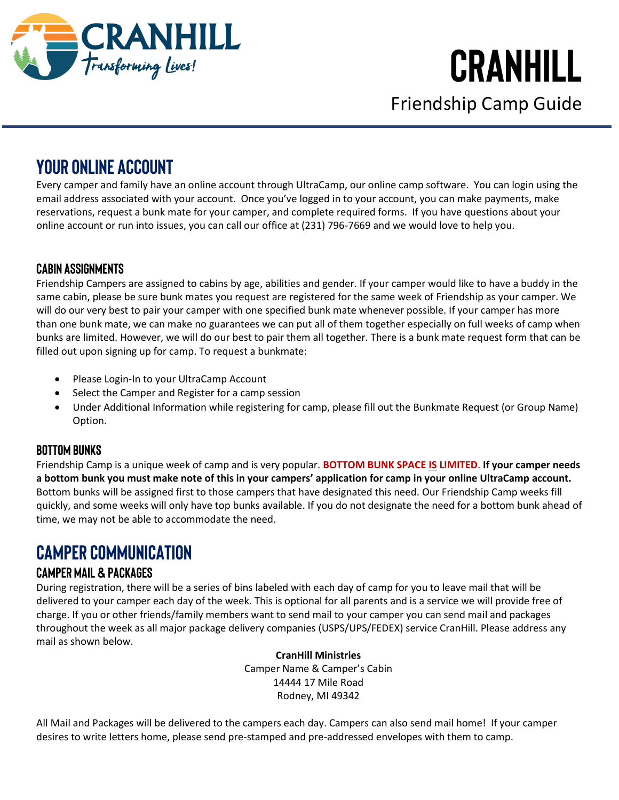

Friendship Camp Guide

### **YOUR ONLINE ACCOUNT**

Every camper and family have an online account through UltraCamp, our online camp software. You can login using the email address associated with your account. Once you've logged in to your account, you can make payments, make reservations, request a bunk mate for your camper, and complete required forms. If you have questions about your online account or run into issues, you can call our office at (231) 796-7669 and we would love to help you.

#### **CABIN ASSIGNMENTS**

Friendship Campers are assigned to cabins by age, abilities and gender. If your camper would like to have a buddy in the same cabin, please be sure bunk mates you request are registered for the same week of Friendship as your camper. We will do our very best to pair your camper with one specified bunk mate whenever possible. If your camper has more than one bunk mate, we can make no guarantees we can put all of them together especially on full weeks of camp when bunks are limited. However, we will do our best to pair them all together. There is a bunk mate request form that can be filled out upon signing up for camp. To request a bunkmate:

- Please Login-In to your UltraCamp Account
- Select the Camper and Register for a camp session
- Under Additional Information while registering for camp, please fill out the Bunkmate Request (or Group Name) Option.

#### **Bottom Bunks**

Friendship Camp is a unique week of camp and is very popular. **BOTTOM BUNK SPACE IS LIMITED**. **If your camper needs a bottom bunk you must make note of this in your campers' application for camp in your online UltraCamp account.** Bottom bunks will be assigned first to those campers that have designated this need. Our Friendship Camp weeks fill quickly, and some weeks will only have top bunks available. If you do not designate the need for a bottom bunk ahead of time, we may not be able to accommodate the need.

### **CAMPER COMMUNICATION**

#### **Camper Mail & Packages**

During registration, there will be a series of bins labeled with each day of camp for you to leave mail that will be delivered to your camper each day of the week. This is optional for all parents and is a service we will provide free of charge. If you or other friends/family members want to send mail to your camper you can send mail and packages throughout the week as all major package delivery companies (USPS/UPS/FEDEX) service CranHill. Please address any mail as shown below.

#### **CranHill Ministries**

Camper Name & Camper's Cabin 14444 17 Mile Road Rodney, MI 49342

All Mail and Packages will be delivered to the campers each day. Campers can also send mail home! If your camper desires to write letters home, please send pre-stamped and pre-addressed envelopes with them to camp.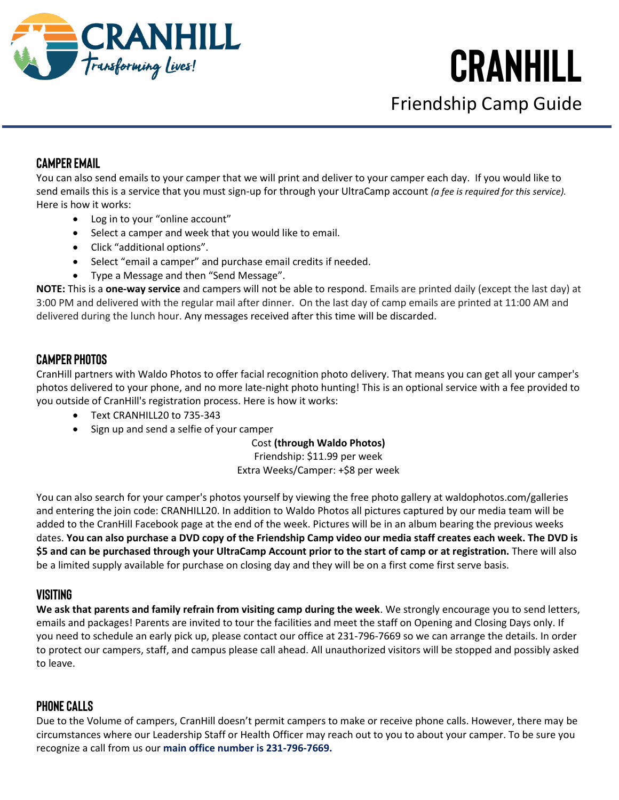

Friendship Camp Guide

#### **Camper Email**

You can also send emails to your camper that we will print and deliver to your camper each day. If you would like to send emails this is a service that you must sign-up for through your UltraCamp account *(a fee is required for this service).* Here is how it works:

- Log in to your "online account"
- Select a camper and week that you would like to email.
- Click "additional options".
- Select "email a camper" and purchase email credits if needed.
- Type a Message and then "Send Message".

**NOTE:** This is a **one-way service** and campers will not be able to respond. Emails are printed daily (except the last day) at 3:00 PM and delivered with the regular mail after dinner. On the last day of camp emails are printed at 11:00 AM and delivered during the lunch hour. Any messages received after this time will be discarded.

#### **Camper Photos**

CranHill partners with Waldo Photos to offer facial recognition photo delivery. That means you can get all your camper's photos delivered to your phone, and no more late-night photo hunting! This is an optional service with a fee provided to you outside of CranHill's registration process. Here is how it works:

- Text CRANHILL20 to 735-343
- Sign up and send a selfie of your camper

Cost **(through Waldo Photos)**

Friendship: \$11.99 per week Extra Weeks/Camper: +\$8 per week

You can also search for your camper's photos yourself by viewing the free photo gallery at waldophotos.com/galleries and entering the join code: CRANHILL20. In addition to Waldo Photos all pictures captured by our media team will be added to the CranHill Facebook page at the end of the week. Pictures will be in an album bearing the previous weeks dates. **You can also purchase a DVD copy of the Friendship Camp video our media staff creates each week. The DVD is \$5 and can be purchased through your UltraCamp Account prior to the start of camp or at registration.** There will also be a limited supply available for purchase on closing day and they will be on a first come first serve basis.

#### **Visiting**

**We ask that parents and family refrain from visiting camp during the week**. We strongly encourage you to send letters, emails and packages! Parents are invited to tour the facilities and meet the staff on Opening and Closing Days only. If you need to schedule an early pick up, please contact our office at 231-796-7669 so we can arrange the details. In order to protect our campers, staff, and campus please call ahead. All unauthorized visitors will be stopped and possibly asked to leave.

#### **Phone Calls**

Due to the Volume of campers, CranHill doesn't permit campers to make or receive phone calls. However, there may be circumstances where our Leadership Staff or Health Officer may reach out to you to about your camper. To be sure you recognize a call from us our **main office number is 231-796-7669.**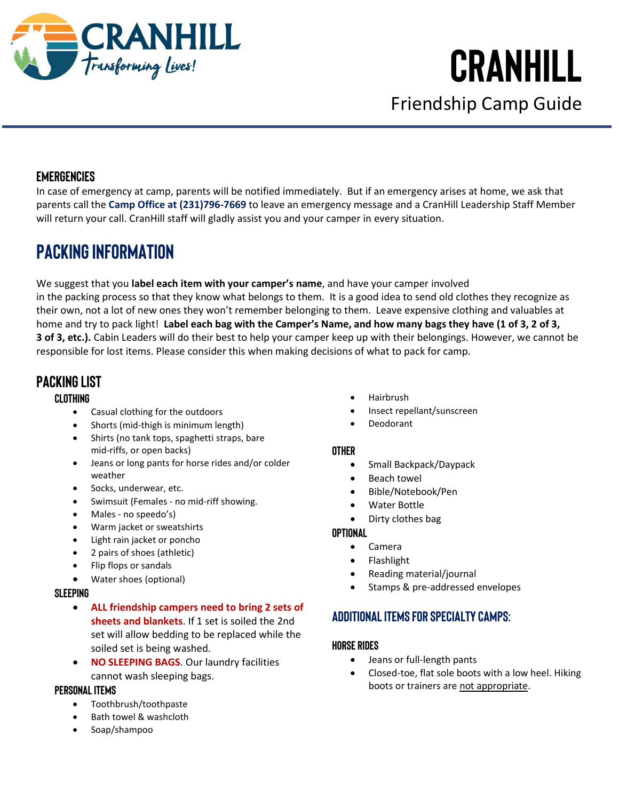

## **CranHill**  Friendship Camp Guide

#### **Emergencies**

In case of emergency at camp, parents will be notified immediately. But if an emergency arises at home, we ask that parents call the **Camp Office at (231)796-7669** to leave an emergency message and a CranHill Leadership Staff Member will return your call. CranHill staff will gladly assist you and your camper in every situation.

### **Packing INFORMATION**

We suggest that you **label each item with your camper's name**, and have your camper involved in the packing process so that they know what belongs to them. It is a good idea to send old clothes they recognize as their own, not a lot of new ones they won't remember belonging to them. Leave expensive clothing and valuables at home and try to pack light! **Label each bag with the Camper's Name, and how many bags they have (1 of 3, 2 of 3, 3 of 3, etc.).** Cabin Leaders will do their best to help your camper keep up with their belongings. However, we cannot be responsible for lost items. Please consider this when making decisions of what to pack for camp.

#### **Packing List**

#### **Clothing**

- Casual clothing for the outdoors
- Shorts (mid-thigh is minimum length)
- Shirts (no tank tops, spaghetti straps, bare mid-riffs, or open backs)
- Jeans or long pants for horse rides and/or colder weather
- Socks, underwear, etc.
- Swimsuit (Females no mid-riff showing.
- Males no speedo's)
- Warm jacket or sweatshirts
- Light rain jacket or poncho
- 2 pairs of shoes (athletic)
- Flip flops or sandals
- Water shoes (optional)

#### **Sleeping**

- **ALL friendship campers need to bring 2 sets of sheets and blankets**. If 1 set is soiled the 2nd set will allow bedding to be replaced while the soiled set is being washed.
- **NO SLEEPING BAGS.** Our laundry facilities cannot wash sleeping bags.

#### **Personal Items**

- Toothbrush/toothpaste
- Bath towel & washcloth
- Soap/shampoo
- Hairbrush
- Insect repellant/sunscreen
- Deodorant

#### **Other**

- Small Backpack/Daypack
- **Beach towel**
- Bible/Notebook/Pen
- Water Bottle
- Dirty clothes bag

#### **Optional**

- Camera
	- **Flashlight**
- Reading material/journal
- Stamps & pre-addressed envelopes

#### **Additional Items for Specialty Camps:**

#### **HORSE RIDES**

- Jeans or full-length pants
- Closed-toe, flat sole boots with a low heel. Hiking boots or trainers are not appropriate.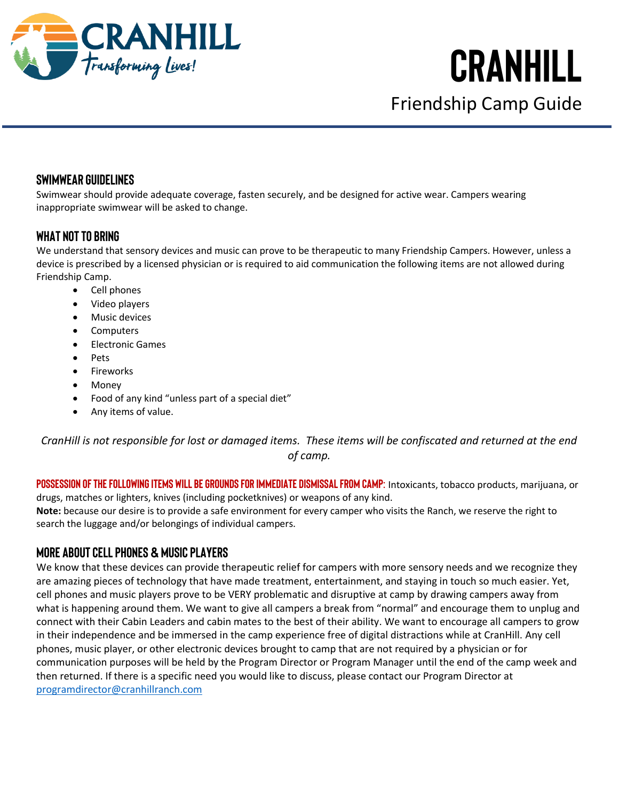

Friendship Camp Guide

#### **Swimwear Guidelines**

Swimwear should provide adequate coverage, fasten securely, and be designed for active wear. Campers wearing inappropriate swimwear will be asked to change.

#### **What NOT to Bring**

We understand that sensory devices and music can prove to be therapeutic to many Friendship Campers. However, unless a device is prescribed by a licensed physician or is required to aid communication the following items are not allowed during Friendship Camp.

- Cell phones
- Video players
- Music devices
- **Computers**
- Electronic Games
- Pets
- Fireworks
- Money
- Food of any kind "unless part of a special diet"
- Any items of value.

*CranHill is not responsible for lost or damaged items. These items will be confiscated and returned at the end of camp.*

**Possession of the following items will be grounds for immediate dismissal from camp:** Intoxicants, tobacco products, marijuana, or drugs, matches or lighters, knives (including pocketknives) or weapons of any kind. **Note:** because our desire is to provide a safe environment for every camper who visits the Ranch, we reserve the right to search the luggage and/or belongings of individual campers.

#### **More about Cell Phones & Music Players**

We know that these devices can provide therapeutic relief for campers with more sensory needs and we recognize they are amazing pieces of technology that have made treatment, entertainment, and staying in touch so much easier. Yet, cell phones and music players prove to be VERY problematic and disruptive at camp by drawing campers away from what is happening around them. We want to give all campers a break from "normal" and encourage them to unplug and connect with their Cabin Leaders and cabin mates to the best of their ability. We want to encourage all campers to grow in their independence and be immersed in the camp experience free of digital distractions while at CranHill. Any cell phones, music player, or other electronic devices brought to camp that are not required by a physician or for communication purposes will be held by the Program Director or Program Manager until the end of the camp week and then returned. If there is a specific need you would like to discuss, please contact our Program Director at [programdirector@cranhillranch.com](mailto:programdirector@cranhillranch.com)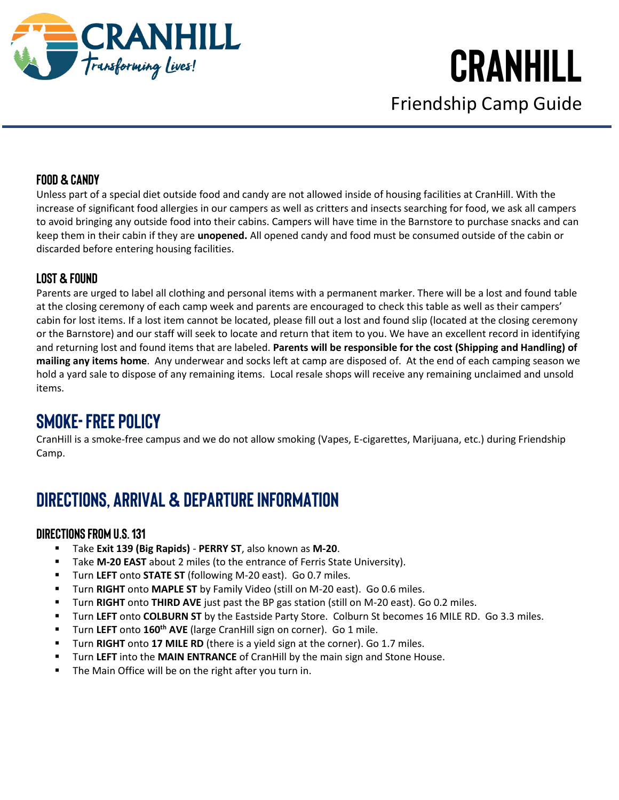

## **CranHill**  Friendship Camp Guide

#### **Food & Candy**

Unless part of a special diet outside food and candy are not allowed inside of housing facilities at CranHill. With the increase of significant food allergies in our campers as well as critters and insects searching for food, we ask all campers to avoid bringing any outside food into their cabins. Campers will have time in the Barnstore to purchase snacks and can keep them in their cabin if they are **unopened.** All opened candy and food must be consumed outside of the cabin or discarded before entering housing facilities.

#### **Lost & Found**

Parents are urged to label all clothing and personal items with a permanent marker. There will be a lost and found table at the closing ceremony of each camp week and parents are encouraged to check this table as well as their campers' cabin for lost items. If a lost item cannot be located, please fill out a lost and found slip (located at the closing ceremony or the Barnstore) and our staff will seek to locate and return that item to you. We have an excellent record in identifying and returning lost and found items that are labeled. **Parents will be responsible for the cost (Shipping and Handling) of mailing any items home**. Any underwear and socks left at camp are disposed of. At the end of each camping season we hold a yard sale to dispose of any remaining items. Local resale shops will receive any remaining unclaimed and unsold items.

### **Smoke-Free Policy**

CranHill is a smoke-free campus and we do not allow smoking (Vapes, E-cigarettes, Marijuana, etc.) during Friendship Camp.

### **DIRECTIONS, ARRIVAL & DEPARTURE INFORMATION**

#### **Directions from U.S. 131**

- Take **Exit 139 (Big Rapids) PERRY ST**, also known as **M-20**.
- Take **M-20 EAST** about 2 miles (to the entrance of Ferris State University).
- Turn **LEFT** onto **STATE ST** (following M-20 east). Go 0.7 miles.
- Turn **RIGHT** onto **MAPLE ST** by Family Video (still on M-20 east). Go 0.6 miles.
- Turn **RIGHT** onto **THIRD AVE** just past the BP gas station (still on M-20 east). Go 0.2 miles.
- Turn **LEFT** onto **COLBURN ST** by the Eastside Party Store. Colburn St becomes 16 MILE RD. Go 3.3 miles.
- Turn **LEFT** onto **160th AVE** (large CranHill sign on corner). Go 1 mile.
- Turn **RIGHT** onto 17 MILE RD (there is a yield sign at the corner). Go 1.7 miles.
- **EXECT** into the **MAIN ENTRANCE** of CranHill by the main sign and Stone House.
- The Main Office will be on the right after you turn in.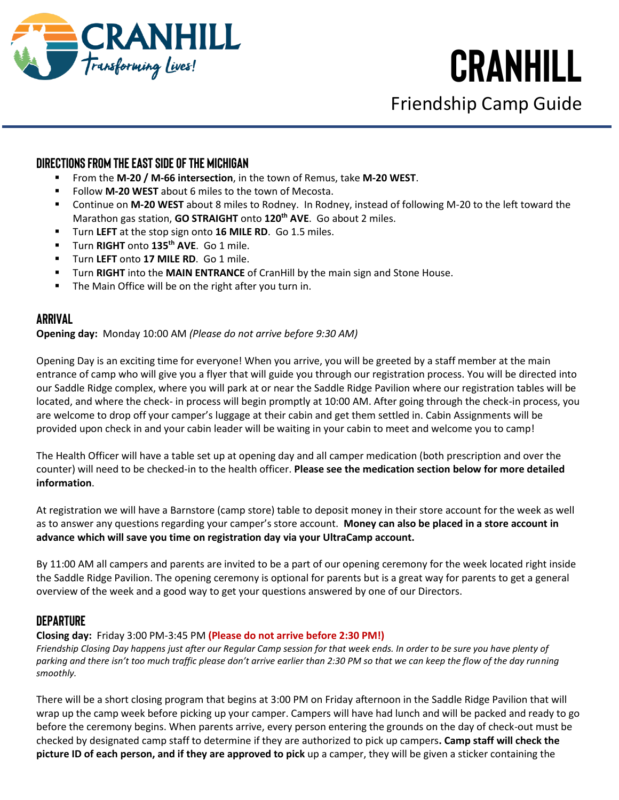

Friendship Camp Guide

#### **Directions from the East Side of the Michigan**

- From the **M-20 / M-66 intersection**, in the town of Remus, take **M-20 WEST**.
- Follow **M-20 WEST** about 6 miles to the town of Mecosta.
- Continue on M-20 WEST about 8 miles to Rodney. In Rodney, instead of following M-20 to the left toward the Marathon gas station, **GO STRAIGHT** onto **120th AVE**. Go about 2 miles.
- Turn **LEFT** at the stop sign onto **16 MILE RD**. Go 1.5 miles.
- Turn **RIGHT** onto **135th AVE**. Go 1 mile.
- Turn **LEFT** onto **17 MILE RD**. Go 1 mile.
- Turn **RIGHT** into the **MAIN ENTRANCE** of CranHill by the main sign and Stone House.
- The Main Office will be on the right after you turn in.

#### **Arrival**

#### **Opening day:** Monday 10:00 AM *(Please do not arrive before 9:30 AM)*

Opening Day is an exciting time for everyone! When you arrive, you will be greeted by a staff member at the main entrance of camp who will give you a flyer that will guide you through our registration process. You will be directed into our Saddle Ridge complex, where you will park at or near the Saddle Ridge Pavilion where our registration tables will be located, and where the check- in process will begin promptly at 10:00 AM. After going through the check-in process, you are welcome to drop off your camper's luggage at their cabin and get them settled in. Cabin Assignments will be provided upon check in and your cabin leader will be waiting in your cabin to meet and welcome you to camp!

The Health Officer will have a table set up at opening day and all camper medication (both prescription and over the counter) will need to be checked-in to the health officer. **Please see the medication section below for more detailed information**.

At registration we will have a Barnstore (camp store) table to deposit money in their store account for the week as well as to answer any questions regarding your camper's store account. **Money can also be placed in a store account in advance which will save you time on registration day via your UltraCamp account.**

By 11:00 AM all campers and parents are invited to be a part of our opening ceremony for the week located right inside the Saddle Ridge Pavilion. The opening ceremony is optional for parents but is a great way for parents to get a general overview of the week and a good way to get your questions answered by one of our Directors.

#### **Departure**

#### **Closing day:**Friday 3:00 PM-3:45 PM **(Please do not arrive before 2:30 PM!)**

*Friendship Closing Day happens just after our Regular Camp session for that week ends. In order to be sure you have plenty of parking and there isn't too much traffic please don't arrive earlier than 2:30 PM so that we can keep the flow of the day running smoothly.*

There will be a short closing program that begins at 3:00 PM on Friday afternoon in the Saddle Ridge Pavilion that will wrap up the camp week before picking up your camper. Campers will have had lunch and will be packed and ready to go before the ceremony begins. When parents arrive, every person entering the grounds on the day of check-out must be checked by designated camp staff to determine if they are authorized to pick up campers**. Camp staff will check the picture ID of each person, and if they are approved to pick** up a camper, they will be given a sticker containing the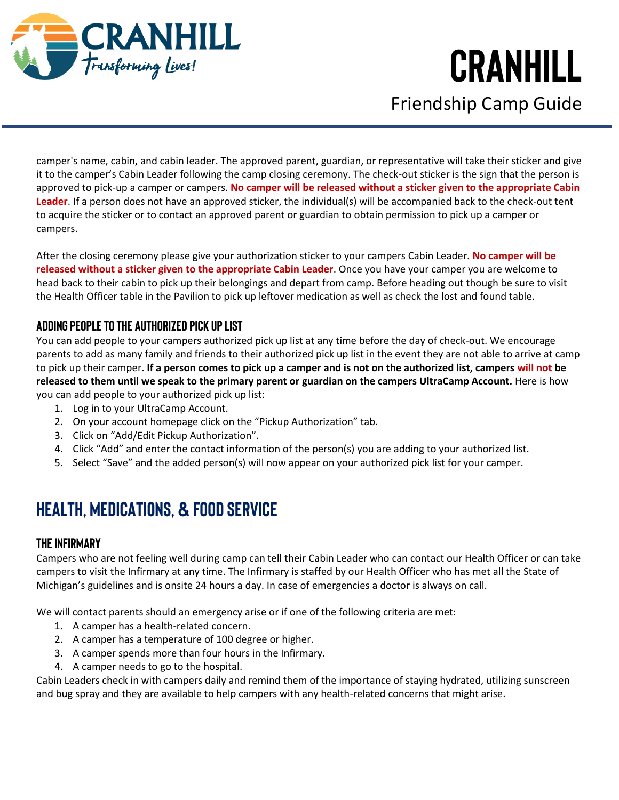

Friendship Camp Guide

camper's name, cabin, and cabin leader. The approved parent, guardian, or representative will take their sticker and give it to the camper's Cabin Leader following the camp closing ceremony. The check-out sticker is the sign that the person is approved to pick-up a camper or campers. **No camper will be released without a sticker given to the appropriate Cabin Leader**. If a person does not have an approved sticker, the individual(s) will be accompanied back to the check-out tent to acquire the sticker or to contact an approved parent or guardian to obtain permission to pick up a camper or campers.

After the closing ceremony please give your authorization sticker to your campers Cabin Leader. **No camper will be released without a sticker given to the appropriate Cabin Leader**. Once you have your camper you are welcome to head back to their cabin to pick up their belongings and depart from camp. Before heading out though be sure to visit the Health Officer table in the Pavilion to pick up leftover medication as well as check the lost and found table.

#### **Adding People To the Authorized Pick Up List**

You can add people to your campers authorized pick up list at any time before the day of check-out. We encourage parents to add as many family and friends to their authorized pick up list in the event they are not able to arrive at camp to pick up their camper. **If a person comes to pick up a camper and is not on the authorized list, campers will not be released to them until we speak to the primary parent or guardian on the campers UltraCamp Account.** Here is how you can add people to your authorized pick up list:

- 1. Log in to your UltraCamp Account.
- 2. On your account homepage click on the "Pickup Authorization" tab.
- 3. Click on "Add/Edit Pickup Authorization".
- 4. Click "Add" and enter the contact information of the person(s) you are adding to your authorized list.
- 5. Select "Save" and the added person(s) will now appear on your authorized pick list for your camper.

### **HEALTH, MEDICATIONS, & FOOD SERVICE**

#### **The Infirmary**

Campers who are not feeling well during camp can tell their Cabin Leader who can contact our Health Officer or can take campers to visit the Infirmary at any time. The Infirmary is staffed by our Health Officer who has met all the State of Michigan's guidelines and is onsite 24 hours a day. In case of emergencies a doctor is always on call.

We will contact parents should an emergency arise or if one of the following criteria are met:

- 1. A camper has a health-related concern.
- 2. A camper has a temperature of 100 degree or higher.
- 3. A camper spends more than four hours in the Infirmary.
- 4. A camper needs to go to the hospital.

Cabin Leaders check in with campers daily and remind them of the importance of staying hydrated, utilizing sunscreen and bug spray and they are available to help campers with any health-related concerns that might arise.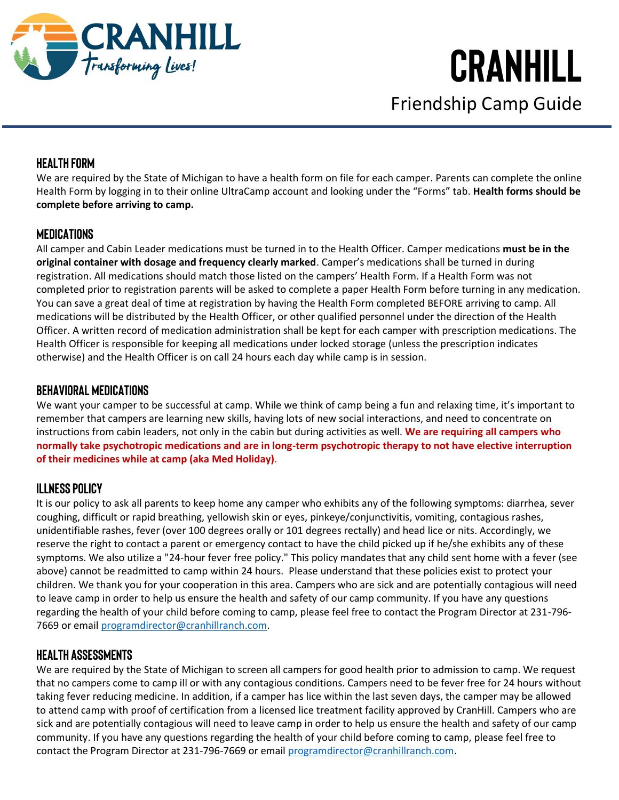

Friendship Camp Guide

#### **Health Form**

We are required by the State of Michigan to have a health form on file for each camper. Parents can complete the online Health Form by logging in to their online UltraCamp account and looking under the "Forms" tab. **Health forms should be complete before arriving to camp.**

#### **Medications**

All camper and Cabin Leader medications must be turned in to the Health Officer. Camper medications **must be in the original container with dosage and frequency clearly marked**. Camper's medications shall be turned in during registration. All medications should match those listed on the campers' Health Form. If a Health Form was not completed prior to registration parents will be asked to complete a paper Health Form before turning in any medication. You can save a great deal of time at registration by having the Health Form completed BEFORE arriving to camp. All medications will be distributed by the Health Officer, or other qualified personnel under the direction of the Health Officer. A written record of medication administration shall be kept for each camper with prescription medications. The Health Officer is responsible for keeping all medications under locked storage (unless the prescription indicates otherwise) and the Health Officer is on call 24 hours each day while camp is in session.

#### **Behavioral Medications**

We want your camper to be successful at camp. While we think of camp being a fun and relaxing time, it's important to remember that campers are learning new skills, having lots of new social interactions, and need to concentrate on instructions from cabin leaders, not only in the cabin but during activities as well. **We are requiring all campers who normally take psychotropic medications and are in long-term psychotropic therapy to not have elective interruption of their medicines while at camp (aka Med Holiday)**.

#### **Illness Policy**

It is our policy to ask all parents to keep home any camper who exhibits any of the following symptoms: diarrhea, sever coughing, difficult or rapid breathing, yellowish skin or eyes, pinkeye/conjunctivitis, vomiting, contagious rashes, unidentifiable rashes, fever (over 100 degrees orally or 101 degrees rectally) and head lice or nits. Accordingly, we reserve the right to contact a parent or emergency contact to have the child picked up if he/she exhibits any of these symptoms. We also utilize a "24-hour fever free policy." This policy mandates that any child sent home with a fever (see above) cannot be readmitted to camp within 24 hours. Please understand that these policies exist to protect your children. We thank you for your cooperation in this area. Campers who are sick and are potentially contagious will need to leave camp in order to help us ensure the health and safety of our camp community. If you have any questions regarding the health of your child before coming to camp, please feel free to contact the Program Director at 231-796- 7669 or email [programdirector@cranhillranch.com.](mailto:programdirector@cranhillranch.com)

#### **Health Assessments**

We are required by the State of Michigan to screen all campers for good health prior to admission to camp. We request that no campers come to camp ill or with any contagious conditions. Campers need to be fever free for 24 hours without taking fever reducing medicine. In addition, if a camper has lice within the last seven days, the camper may be allowed to attend camp with proof of certification from a licensed lice treatment facility approved by CranHill. Campers who are sick and are potentially contagious will need to leave camp in order to help us ensure the health and safety of our camp community. If you have any questions regarding the health of your child before coming to camp, please feel free to contact the Program Director at 231-796-7669 or email [programdirector@cranhillranch.com.](mailto:programdirector@cranhillranch.com)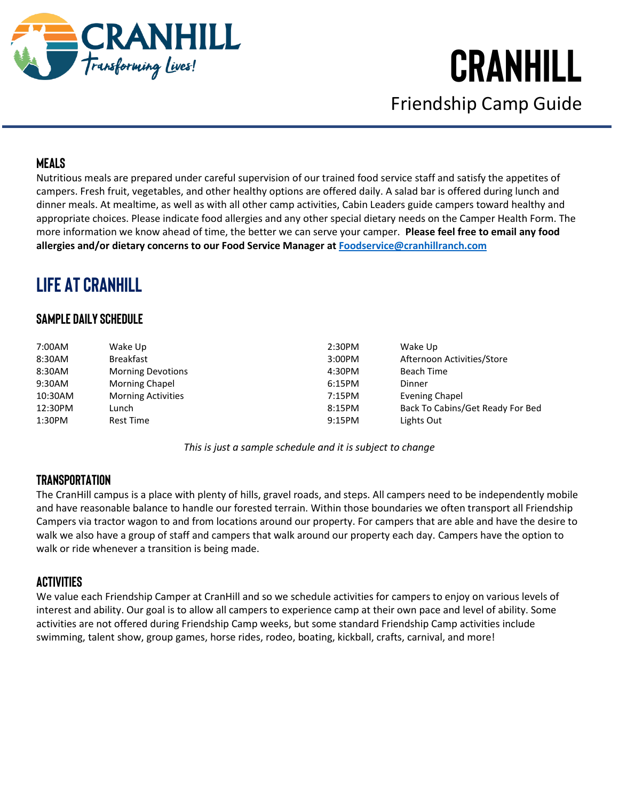

Friendship Camp Guide

#### **Meals**

Nutritious meals are prepared under careful supervision of our trained food service staff and satisfy the appetites of campers. Fresh fruit, vegetables, and other healthy options are offered daily. A salad bar is offered during lunch and dinner meals. At mealtime, as well as with all other camp activities, Cabin Leaders guide campers toward healthy and appropriate choices. Please indicate food allergies and any other special dietary needs on the Camper Health Form. The more information we know ahead of time, the better we can serve your camper. **Please feel free to email any food allergies and/or dietary concerns to our Food Service Manager at [Foodservice@cranhillranch.com](mailto:Foodservice@cranhillranch.com)**

### **LIFE AT CRANHILL**

#### **Sample Daily Schedule**

| 7:00AM  | Wake Up                   | 2:30PM | Wake Up                          |
|---------|---------------------------|--------|----------------------------------|
| 8:30AM  | <b>Breakfast</b>          | 3:00PM | Afternoon Activities/Store       |
| 8:30AM  | <b>Morning Devotions</b>  | 4:30PM | Beach Time                       |
| 9:30AM  | <b>Morning Chapel</b>     | 6:15PM | Dinner                           |
| 10:30AM | <b>Morning Activities</b> | 7:15PM | Evening Chapel                   |
| 12:30PM | Lunch                     | 8:15PM | Back To Cabins/Get Ready For Bed |
| 1:30PM  | <b>Rest Time</b>          | 9:15PM | Lights Out                       |

*This is just a sample schedule and it is subject to change*

#### **Transportation**

The CranHill campus is a place with plenty of hills, gravel roads, and steps. All campers need to be independently mobile and have reasonable balance to handle our forested terrain. Within those boundaries we often transport all Friendship Campers via tractor wagon to and from locations around our property. For campers that are able and have the desire to walk we also have a group of staff and campers that walk around our property each day. Campers have the option to walk or ride whenever a transition is being made.

#### **Activities**

We value each Friendship Camper at CranHill and so we schedule activities for campers to enjoy on various levels of interest and ability. Our goal is to allow all campers to experience camp at their own pace and level of ability. Some activities are not offered during Friendship Camp weeks, but some standard Friendship Camp activities include swimming, talent show, group games, horse rides, rodeo, boating, kickball, crafts, carnival, and more!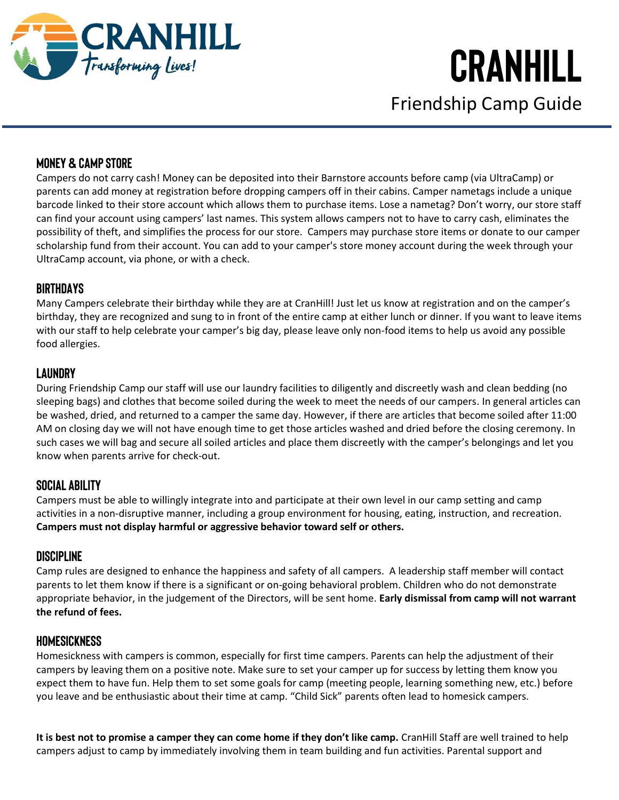

Friendship Camp Guide

#### **Money & Camp Store**

Campers do not carry cash! Money can be deposited into their Barnstore accounts before camp (via UltraCamp) or parents can add money at registration before dropping campers off in their cabins. Camper nametags include a unique barcode linked to their store account which allows them to purchase items. Lose a nametag? Don't worry, our store staff can find your account using campers' last names. This system allows campers not to have to carry cash, eliminates the possibility of theft, and simplifies the process for our store. Campers may purchase store items or donate to our camper scholarship fund from their account. You can add to your camper's store money account during the week through your UltraCamp account, via phone, or with a check.

#### **Birthdays**

Many Campers celebrate their birthday while they are at CranHill! Just let us know at registration and on the camper's birthday, they are recognized and sung to in front of the entire camp at either lunch or dinner. If you want to leave items with our staff to help celebrate your camper's big day, please leave only non-food items to help us avoid any possible food allergies.

#### **Laundry**

During Friendship Camp our staff will use our laundry facilities to diligently and discreetly wash and clean bedding (no sleeping bags) and clothes that become soiled during the week to meet the needs of our campers. In general articles can be washed, dried, and returned to a camper the same day. However, if there are articles that become soiled after 11:00 AM on closing day we will not have enough time to get those articles washed and dried before the closing ceremony. In such cases we will bag and secure all soiled articles and place them discreetly with the camper's belongings and let you know when parents arrive for check-out.

#### **Social Ability**

Campers must be able to willingly integrate into and participate at their own level in our camp setting and camp activities in a non-disruptive manner, including a group environment for housing, eating, instruction, and recreation. **Campers must not display harmful or aggressive behavior toward self or others.**

#### **Discipline**

Camp rules are designed to enhance the happiness and safety of all campers. A leadership staff member will contact parents to let them know if there is a significant or on-going behavioral problem. Children who do not demonstrate appropriate behavior, in the judgement of the Directors, will be sent home. **Early dismissal from camp will not warrant the refund of fees.**

#### **Homesickness**

Homesickness with campers is common, especially for first time campers. Parents can help the adjustment of their campers by leaving them on a positive note. Make sure to set your camper up for success by letting them know you expect them to have fun. Help them to set some goals for camp (meeting people, learning something new, etc.) before you leave and be enthusiastic about their time at camp. "Child Sick" parents often lead to homesick campers.

**It is best not to promise a camper they can come home if they don't like camp.** CranHill Staff are well trained to help campers adjust to camp by immediately involving them in team building and fun activities. Parental support and